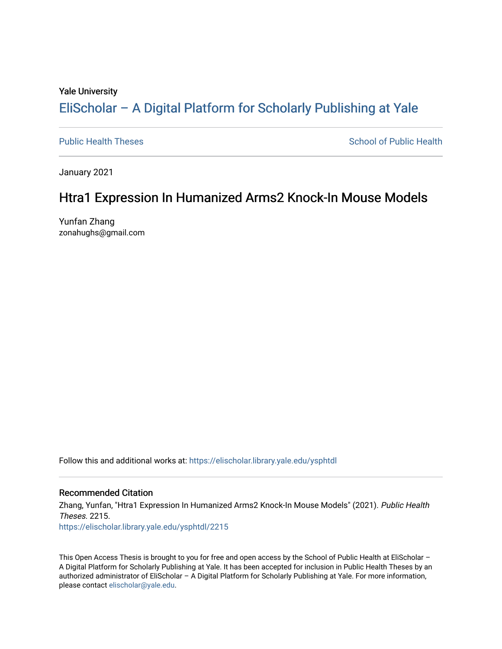#### Yale University

# [EliScholar – A Digital Platform for Scholarly Publishing at Yale](https://elischolar.library.yale.edu/)

[Public Health Theses](https://elischolar.library.yale.edu/ysphtdl) **School of Public Health** Public Health

January 2021

# Htra1 Expression In Humanized Arms2 Knock-In Mouse Models

Yunfan Zhang zonahughs@gmail.com

Follow this and additional works at: [https://elischolar.library.yale.edu/ysphtdl](https://elischolar.library.yale.edu/ysphtdl?utm_source=elischolar.library.yale.edu%2Fysphtdl%2F2215&utm_medium=PDF&utm_campaign=PDFCoverPages) 

### Recommended Citation

Zhang, Yunfan, "Htra1 Expression In Humanized Arms2 Knock-In Mouse Models" (2021). Public Health Theses. 2215. [https://elischolar.library.yale.edu/ysphtdl/2215](https://elischolar.library.yale.edu/ysphtdl/2215?utm_source=elischolar.library.yale.edu%2Fysphtdl%2F2215&utm_medium=PDF&utm_campaign=PDFCoverPages) 

This Open Access Thesis is brought to you for free and open access by the School of Public Health at EliScholar – A Digital Platform for Scholarly Publishing at Yale. It has been accepted for inclusion in Public Health Theses by an authorized administrator of EliScholar – A Digital Platform for Scholarly Publishing at Yale. For more information, please contact [elischolar@yale.edu](mailto:elischolar@yale.edu).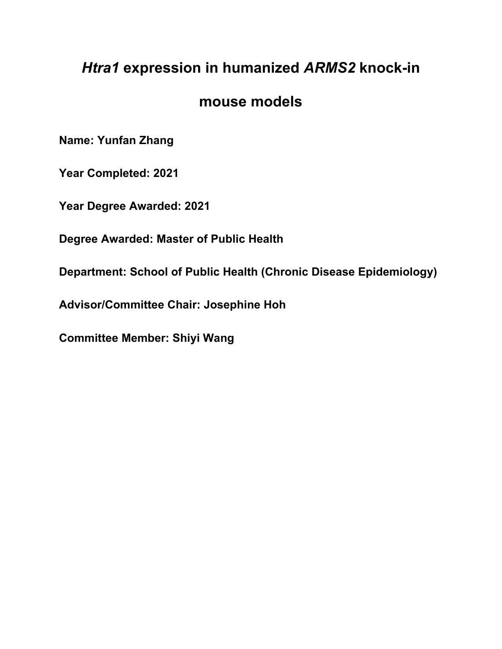# *Htra1* **expression in humanized** *ARMS2* **knock-in**

# **mouse models**

**Name: Yunfan Zhang**

**Year Completed: 2021**

**Year Degree Awarded: 2021**

**Degree Awarded: Master of Public Health**

**Department: School of Public Health (Chronic Disease Epidemiology)**

**Advisor/Committee Chair: Josephine Hoh**

**Committee Member: Shiyi Wang**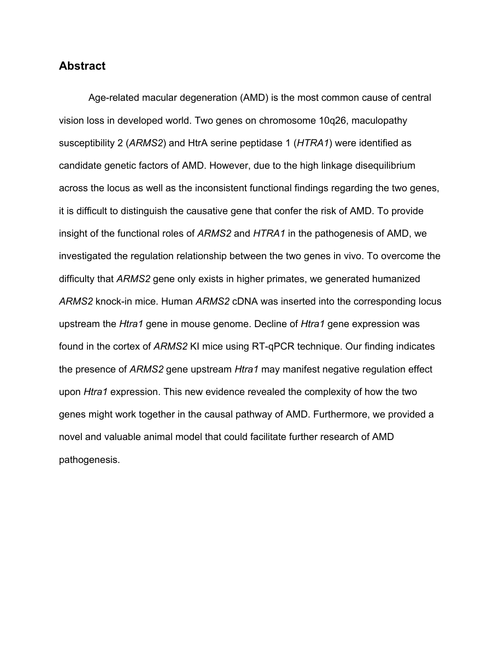# **Abstract**

Age-related macular degeneration (AMD) is the most common cause of central vision loss in developed world. Two genes on chromosome 10q26, maculopathy susceptibility 2 (*ARMS2*) and HtrA serine peptidase 1 (*HTRA1*) were identified as candidate genetic factors of AMD. However, due to the high linkage disequilibrium across the locus as well as the inconsistent functional findings regarding the two genes, it is difficult to distinguish the causative gene that confer the risk of AMD. To provide insight of the functional roles of *ARMS2* and *HTRA1* in the pathogenesis of AMD, we investigated the regulation relationship between the two genes in vivo. To overcome the difficulty that *ARMS2* gene only exists in higher primates, we generated humanized *ARMS2* knock-in mice. Human *ARMS2* cDNA was inserted into the corresponding locus upstream the *Htra1* gene in mouse genome. Decline of *Htra1* gene expression was found in the cortex of *ARMS2* KI mice using RT-qPCR technique. Our finding indicates the presence of *ARMS2* gene upstream *Htra1* may manifest negative regulation effect upon *Htra1* expression. This new evidence revealed the complexity of how the two genes might work together in the causal pathway of AMD. Furthermore, we provided a novel and valuable animal model that could facilitate further research of AMD pathogenesis.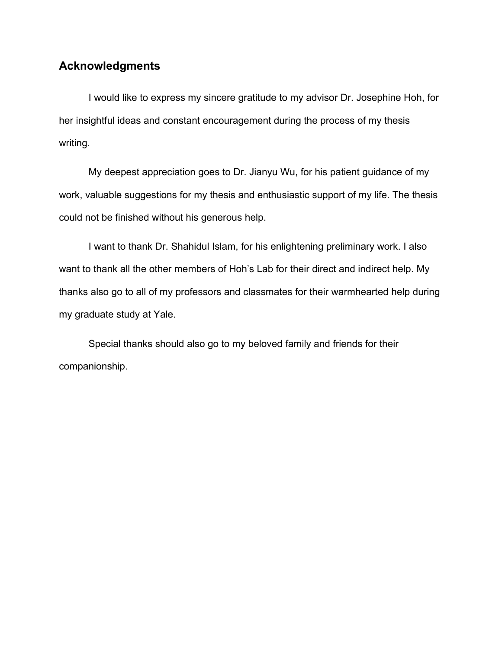# **Acknowledgments**

I would like to express my sincere gratitude to my advisor Dr. Josephine Hoh, for her insightful ideas and constant encouragement during the process of my thesis writing.

My deepest appreciation goes to Dr. Jianyu Wu, for his patient guidance of my work, valuable suggestions for my thesis and enthusiastic support of my life. The thesis could not be finished without his generous help.

I want to thank Dr. Shahidul Islam, for his enlightening preliminary work. I also want to thank all the other members of Hoh's Lab for their direct and indirect help. My thanks also go to all of my professors and classmates for their warmhearted help during my graduate study at Yale.

Special thanks should also go to my beloved family and friends for their companionship.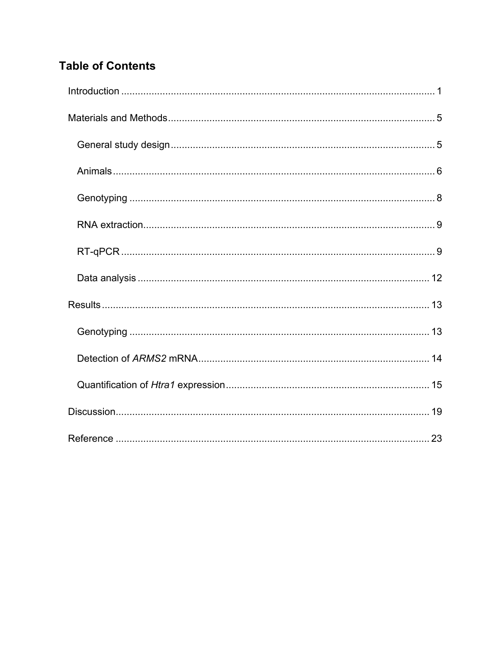# **Table of Contents**

<span id="page-4-0"></span>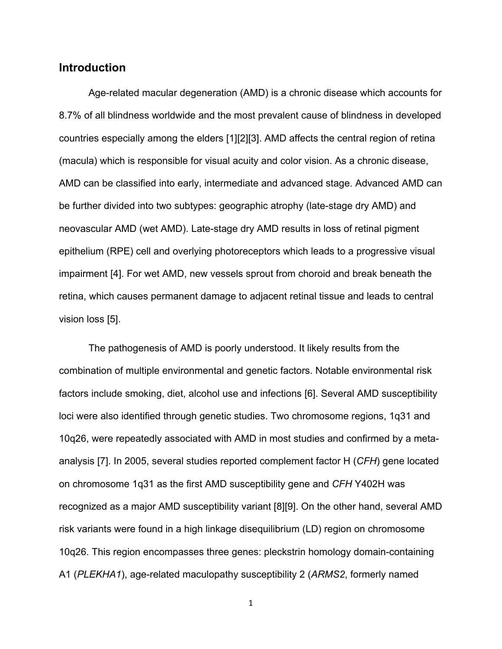# **Introduction**

Age-related macular degeneration (AMD) is a chronic disease which accounts for 8.7% of all blindness worldwide and the most prevalent cause of blindness in developed countries especially among the elders [\[1\]](#page-27-0)[\[2\]](#page-27-1)[\[3\].](#page-27-2) AMD affects the central region of retina (macula) which is responsible for visual acuity and color vision. As a chronic disease, AMD can be classified into early, intermediate and advanced stage. Advanced AMD can be further divided into two subtypes: geographic atrophy (late-stage dry AMD) and neovascular AMD (wet AMD). Late-stage dry AMD results in loss of retinal pigment epithelium (RPE) cell and overlying photoreceptors which leads to a progressive visual impairment [\[4\].](#page-27-3) For wet AMD, new vessels sprout from choroid and break beneath the retina, which causes permanent damage to adjacent retinal tissue and leads to central vision loss [\[5\].](#page-27-4)

The pathogenesis of AMD is poorly understood. It likely results from the combination of multiple environmental and genetic factors. Notable environmental risk factors include smoking, diet, alcohol use and infections [\[6\].](#page-27-5) Several AMD susceptibility loci were also identified through genetic studies. Two chromosome regions, 1q31 and 10q26, were repeatedly associated with AMD in most studies and confirmed by a metaanalysis [\[7\].](#page-27-6) In 2005, several studies reported complement factor H (*CFH*) gene located on chromosome 1q31 as the first AMD susceptibility gene and *CFH* Y402H was recognized as a major AMD susceptibility variant [\[8\]](#page-27-7)[\[9\].](#page-27-8) On the other hand, several AMD risk variants were found in a high linkage disequilibrium (LD) region on chromosome 10q26. This region encompasses three genes: pleckstrin homology domain-containing A1 (*PLEKHA1*), age-related maculopathy susceptibility 2 (*ARMS2*, formerly named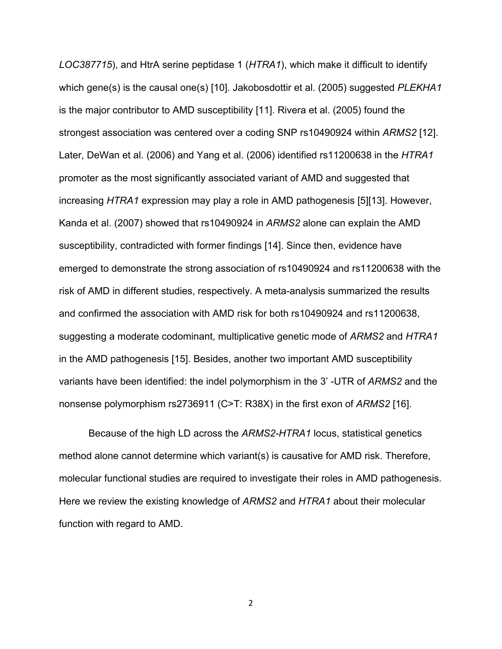*LOC387715*), and HtrA serine peptidase 1 (*HTRA1*), which make it difficult to identify which gene(s) is the causal one(s) [\[10\].](#page-28-0) Jakobosdottir et al. (2005) suggested *PLEKHA1* is the major contributor to AMD susceptibility [\[11\].](#page-28-1) Rivera et al. (2005) found the strongest association was centered over a coding SNP rs10490924 within *ARMS2* [\[12\].](#page-28-2) Later, DeWan et al. (2006) and Yang et al. (2006) identified rs11200638 in the *HTRA1* promoter as the most significantly associated variant of AMD and suggested that increasing *HTRA1* expression may play a role in AMD pathogenesis [\[5\]](#page-27-4)[\[13\].](#page-28-3) However, Kanda et al. (2007) showed that rs10490924 in *ARMS2* alone can explain the AMD susceptibility, contradicted with former findings [\[14\].](#page-28-4) Since then, evidence have emerged to demonstrate the strong association of rs10490924 and rs11200638 with the risk of AMD in different studies, respectively. A meta-analysis summarized the results and confirmed the association with AMD risk for both rs10490924 and rs11200638, suggesting a moderate codominant, multiplicative genetic mode of *ARMS2* and *HTRA1* in the AMD pathogenesis [\[15\].](#page-28-5) Besides, another two important AMD susceptibility variants have been identified: the indel polymorphism in the 3' -UTR of *ARMS2* and the nonsense polymorphism rs2736911 (C>T: R38X) in the first exon of *ARMS2* [\[16\].](#page-28-6)

Because of the high LD across the *ARMS2-HTRA1* locus, statistical genetics method alone cannot determine which variant(s) is causative for AMD risk. Therefore, molecular functional studies are required to investigate their roles in AMD pathogenesis. Here we review the existing knowledge of *ARMS2* and *HTRA1* about their molecular function with regard to AMD.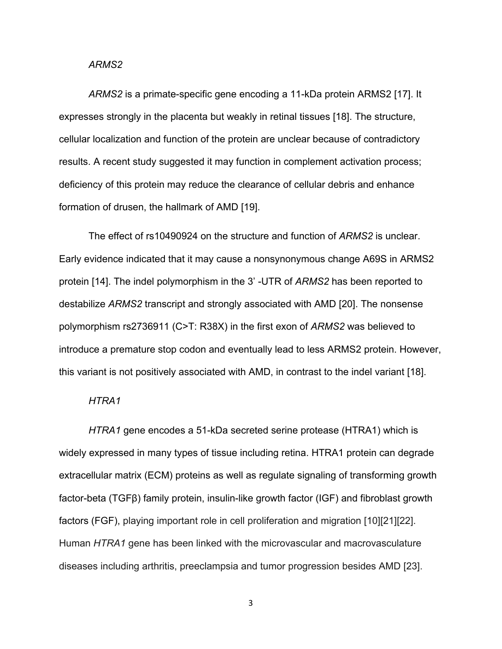#### *ARMS2*

*ARMS2* is a primate-specific gene encoding a 11-kDa protein ARMS2 [\[17\].](#page-28-7) It expresses strongly in the placenta but weakly in retinal tissues [\[18\].](#page-29-0) The structure, cellular localization and function of the protein are unclear because of contradictory results. A recent study suggested it may function in complement activation process; deficiency of this protein may reduce the clearance of cellular debris and enhance formation of drusen, the hallmark of AMD [\[19\].](#page-29-1)

The effect of rs10490924 on the structure and function of *ARMS2* is unclear. Early evidence indicated that it may cause a nonsynonymous change A69S in ARMS2 protein [\[14\].](#page-28-4) The indel polymorphism in the 3' -UTR of *ARMS2* has been reported to destabilize *ARMS2* transcript and strongly associated with AMD [\[20\].](#page-29-2) The nonsense polymorphism rs2736911 (C>T: R38X) in the first exon of *ARMS2* was believed to introduce a premature stop codon and eventually lead to less ARMS2 protein. However, this variant is not positively associated with AMD, in contrast to the indel variant [\[18\].](#page-29-0)

#### *HTRA1*

*HTRA1* gene encodes a 51-kDa secreted serine protease (HTRA1) which is widely expressed in many types of tissue including retina. HTRA1 protein can degrade extracellular matrix (ECM) proteins as well as regulate signaling of transforming growth factor-beta (TGFβ) family protein, insulin-like growth factor (IGF) and fibroblast growth factors (FGF), playing important role in cell proliferation and migration [\[10\]](#page-28-0)[\[21\]\[](#page-29-3)22]. Human *HTRA1* gene has been linked with the microvascular and macrovasculature diseases including arthritis, preeclampsia and tumor progression besides AMD [23].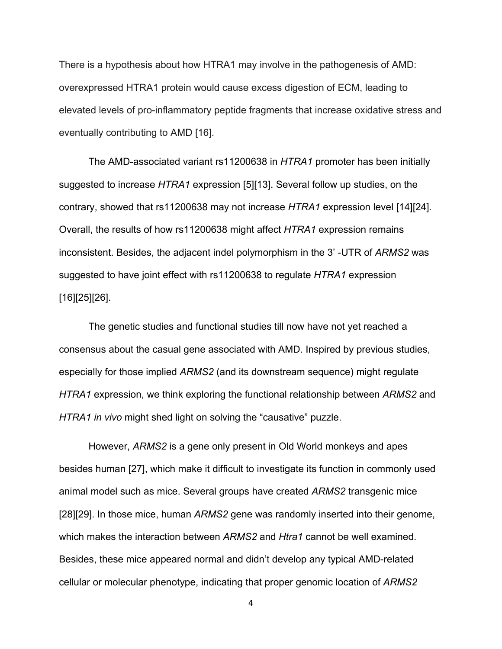There is a hypothesis about how HTRA1 may involve in the pathogenesis of AMD: overexpressed HTRA1 protein would cause excess digestion of ECM, leading to elevated levels of pro-inflammatory peptide fragments that increase oxidative stress and eventually contributing to AMD [\[16\].](#page-28-6)

The AMD-associated variant rs11200638 in *HTRA1* promoter has been initially suggested to increase *HTRA1* expression [\[5\]](#page-27-4)[\[13\].](#page-28-3) Several follow up studies, on the contrary, showed that rs11200638 may not increase *HTRA1* expression level [\[14\]](#page-28-4)[\[24\].](#page-29-4) Overall, the results of how rs11200638 might affect *HTRA1* expression remains inconsistent. Besides, the adjacent indel polymorphism in the 3' -UTR of *ARMS2* was suggested to have joint effect with rs11200638 to regulate *HTRA1* expression [\[16\]](#page-28-6)[\[25\]](#page-29-5)[\[26\].](#page-29-6)

The genetic studies and functional studies till now have not yet reached a consensus about the casual gene associated with AMD. Inspired by previous studies, especially for those implied *ARMS2* (and its downstream sequence) might regulate *HTRA1* expression, we think exploring the functional relationship between *ARMS2* and *HTRA1 in vivo* might shed light on solving the "causative" puzzle.

However, *ARMS2* is a gene only present in Old World monkeys and apes besides human [\[27\],](#page-30-0) which make it difficult to investigate its function in commonly used animal model such as mice. Several groups have created *ARMS2* transgenic mice [\[28\]](#page-30-1)[\[29\].](#page-30-2) In those mice, human *ARMS2* gene was randomly inserted into their genome, which makes the interaction between *ARMS2* and *Htra1* cannot be well examined. Besides, these mice appeared normal and didn't develop any typical AMD-related cellular or molecular phenotype, indicating that proper genomic location of *ARMS2*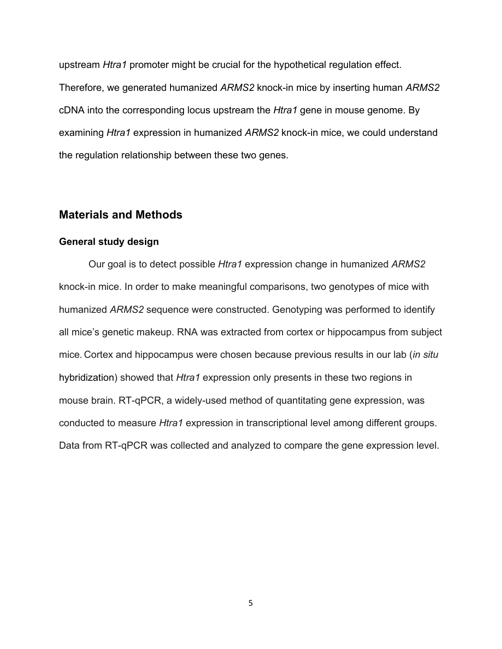upstream *Htra1* promoter might be crucial for the hypothetical regulation effect. Therefore, we generated humanized *ARMS2* knock-in mice by inserting human *ARMS2* cDNA into the corresponding locus upstream the *Htra1* gene in mouse genome. By examining *Htra1* expression in humanized *ARMS2* knock-in mice, we could understand the regulation relationship between these two genes.

# <span id="page-9-0"></span>**Materials and Methods**

#### <span id="page-9-1"></span>**General study design**

<span id="page-9-2"></span>Our goal is to detect possible *Htra1* expression change in humanized *ARMS2* knock-in mice. In order to make meaningful comparisons, two genotypes of mice with humanized *ARMS2* sequence were constructed. Genotyping was performed to identify all mice's genetic makeup. RNA was extracted from cortex or hippocampus from subject mice. Cortex and hippocampus were chosen because previous results in our lab (*in situ* hybridization) showed that *Htra1* expression only presents in these two regions in mouse brain. RT-qPCR, a widely-used method of quantitating gene expression, was conducted to measure *Htra1* expression in transcriptional level among different groups. Data from RT-qPCR was collected and analyzed to compare the gene expression level.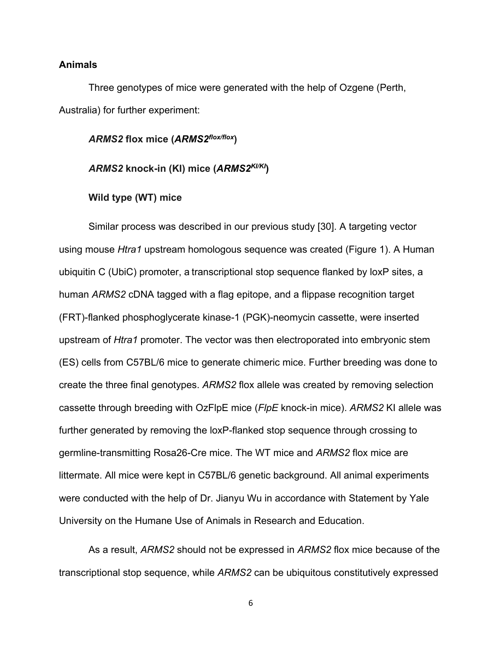### **Animals**

Three genotypes of mice were generated with the help of Ozgene (Perth, Australia) for further experiment:

#### *ARMS2* **flox mice (***ARMS2flox/flox***)**

## *ARMS2* **knock-in (KI) mice (***ARMS2KI/KI***)**

#### **Wild type (WT) mice**

Similar process was described in our previous study [\[30\].](#page-30-3) A targeting vector using mouse *Htra1* upstream homologous sequence was created (Figure 1). A Human ubiquitin C (UbiC) promoter, a transcriptional stop sequence flanked by loxP sites, a human *ARMS2* cDNA tagged with a flag epitope, and a flippase recognition target (FRT)-flanked phosphoglycerate kinase-1 (PGK)-neomycin cassette, were inserted upstream of *Htra1* promoter. The vector was then electroporated into embryonic stem (ES) cells from C57BL/6 mice to generate chimeric mice. Further breeding was done to create the three final genotypes. *ARMS2* flox allele was created by removing selection cassette through breeding with OzFlpE mice (*FlpE* knock-in mice). *ARMS2* KI allele was further generated by removing the loxP-flanked stop sequence through crossing to germline-transmitting Rosa26-Cre mice. The WT mice and *ARMS2* flox mice are littermate. All mice were kept in C57BL/6 genetic background. All animal experiments were conducted with the help of Dr. Jianyu Wu in accordance with Statement by Yale University on the Humane Use of Animals in Research and Education.

As a result, *ARMS2* should not be expressed in *ARMS2* flox mice because of the transcriptional stop sequence, while *ARMS2* can be ubiquitous constitutively expressed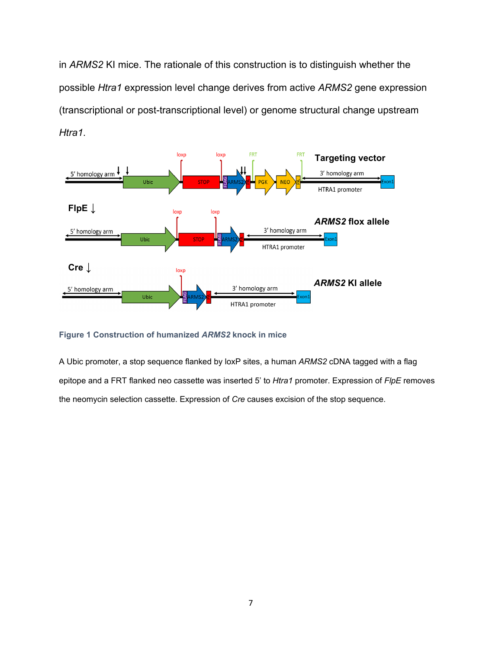in *ARMS2* KI mice. The rationale of this construction is to distinguish whether the possible *Htra1* expression level change derives from active *ARMS2* gene expression (transcriptional or post-transcriptional level) or genome structural change upstream *Htra1*.



#### **Figure 1 Construction of humanized** *ARMS2* **knock in mice**

<span id="page-11-0"></span>A Ubic promoter, a stop sequence flanked by loxP sites, a human *ARMS2* cDNA tagged with a flag epitope and a FRT flanked neo cassette was inserted 5' to *Htra1* promoter. Expression of *FlpE* removes the neomycin selection cassette. Expression of *Cre* causes excision of the stop sequence.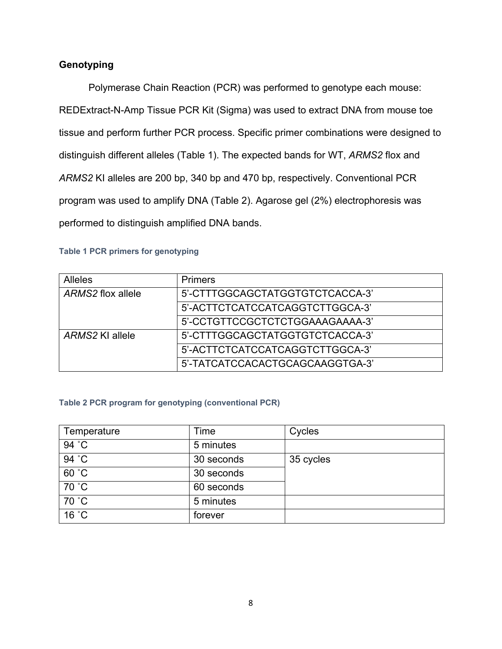# **Genotyping**

Polymerase Chain Reaction (PCR) was performed to genotype each mouse: REDExtract-N-Amp Tissue PCR Kit (Sigma) was used to extract DNA from mouse toe tissue and perform further PCR process. Specific primer combinations were designed to distinguish different alleles (Table 1). The expected bands for WT, *ARMS2* flox and *ARMS2* KI alleles are 200 bp, 340 bp and 470 bp, respectively. Conventional PCR program was used to amplify DNA (Table 2). Agarose gel (2%) electrophoresis was performed to distinguish amplified DNA bands.

## **Table 1 PCR primers for genotyping**

| <b>Alleles</b>    | <b>Primers</b>                  |
|-------------------|---------------------------------|
| ARMS2 flox allele | 5'-CTTTGGCAGCTATGGTGTCTCACCA-3' |
|                   | 5'-ACTTCTCATCCATCAGGTCTTGGCA-3' |
|                   | 5'-CCTGTTCCGCTCTCTGGAAAGAAAA-3' |
| ARMS2 KI allele   | 5'-CTTTGGCAGCTATGGTGTCTCACCA-3' |
|                   | 5'-ACTTCTCATCCATCAGGTCTTGGCA-3' |
|                   | 5'-TATCATCCACACTGCAGCAAGGTGA-3' |

### **Table 2 PCR program for genotyping (conventional PCR)**

<span id="page-12-0"></span>

| Temperature | Time       | Cycles    |
|-------------|------------|-----------|
| 94 °C       | 5 minutes  |           |
| 94 °C       | 30 seconds | 35 cycles |
| 60 °C       | 30 seconds |           |
| 70 °C       | 60 seconds |           |
| 70 °C       | 5 minutes  |           |
| 16 °C       | forever    |           |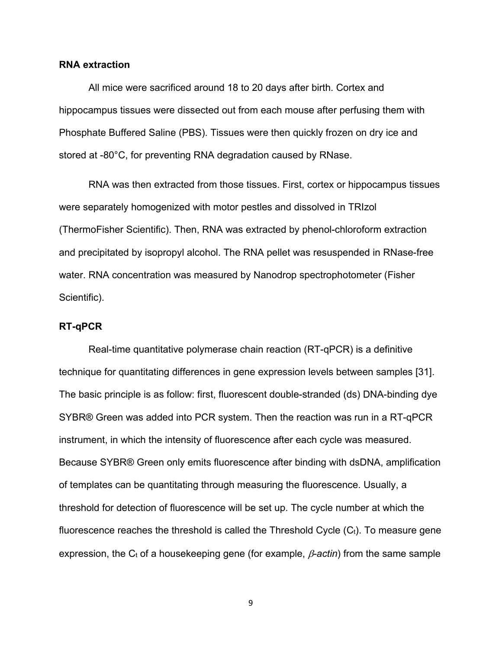### **RNA extraction**

All mice were sacrificed around 18 to 20 days after birth. Cortex and hippocampus tissues were dissected out from each mouse after perfusing them with Phosphate Buffered Saline (PBS). Tissues were then quickly frozen on dry ice and stored at -80°C, for preventing RNA degradation caused by RNase.

RNA was then extracted from those tissues. First, cortex or hippocampus tissues were separately homogenized with motor pestles and dissolved in TRIzol (ThermoFisher Scientific). Then, RNA was extracted by phenol-chloroform extraction and precipitated by isopropyl alcohol. The RNA pellet was resuspended in RNase-free water. RNA concentration was measured by Nanodrop spectrophotometer (Fisher Scientific).

#### <span id="page-13-0"></span>**RT-qPCR**

Real-time quantitative polymerase chain reaction (RT-qPCR) is a definitive technique for quantitating differences in gene expression levels between samples [\[31\].](#page-30-4) The basic principle is as follow: first, fluorescent double-stranded (ds) DNA-binding dye SYBR® Green was added into PCR system. Then the reaction was run in a RT-qPCR instrument, in which the intensity of fluorescence after each cycle was measured. Because SYBR® Green only emits fluorescence after binding with dsDNA, amplification of templates can be quantitating through measuring the fluorescence. Usually, a threshold for detection of fluorescence will be set up. The cycle number at which the fluorescence reaches the threshold is called the Threshold Cycle  $(C_t)$ . To measure gene expression, the C<sub>t</sub> of a housekeeping gene (for example,  $\beta$ -actin) from the same sample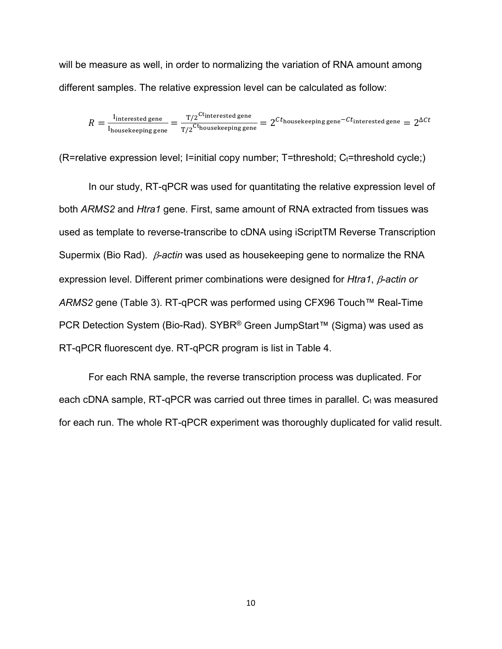will be measure as well, in order to normalizing the variation of RNA amount among different samples. The relative expression level can be calculated as follow:

$$
R = \frac{I_{\text{interested gene}}}{I_{\text{housekeeping gene}}} = \frac{T/2^{\text{Ct}_{\text{interested gene}}}}{T/2^{\text{Ct}_{\text{housekeeping gene}}}} = 2^{Ct_{\text{housekeeping gene}} - Ct_{\text{interested gene}}} = 2^{\Delta Ct}
$$

 $(R=$ relative expression level; I=initial copy number; T=threshold;  $C_t=$ threshold cycle;)

In our study, RT-qPCR was used for quantitating the relative expression level of both *ARMS2* and *Htra1* gene. First, same amount of RNA extracted from tissues was used as template to reverse-transcribe to cDNA using iScriptTM Reverse Transcription Supermix (Bio Rad). β*-actin* was used as housekeeping gene to normalize the RNA expression level. Different primer combinations were designed for *Htra1*, β*-actin or ARMS2* gene (Table 3). RT-qPCR was performed using CFX96 Touch™ Real-Time PCR Detection System (Bio-Rad). SYBR<sup>®</sup> Green JumpStart™ (Sigma) was used as RT-qPCR fluorescent dye. RT-qPCR program is list in Table 4.

For each RNA sample, the reverse transcription process was duplicated. For each cDNA sample,  $RT-qPCR$  was carried out three times in parallel.  $C_t$  was measured for each run. The whole RT-qPCR experiment was thoroughly duplicated for valid result.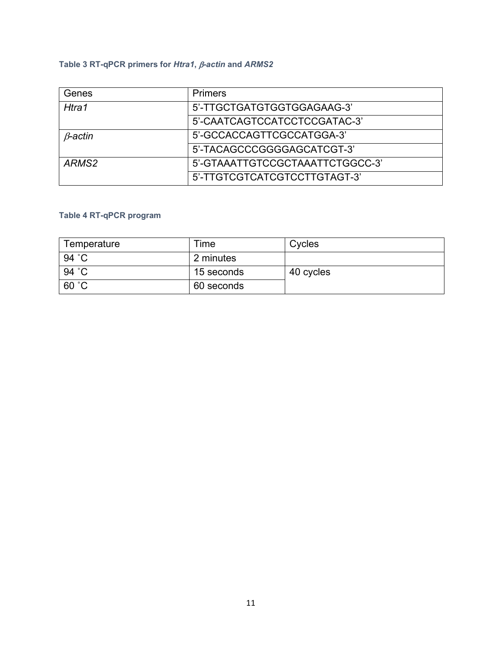# **Table 3 RT-qPCR primers for** *Htra1***,** β*-actin* **and** *ARMS2*

| Genes             | <b>Primers</b>                  |  |
|-------------------|---------------------------------|--|
| Htra1             | 5'-TTGCTGATGTGGTGGAGAAG-3'      |  |
|                   | 5'-CAATCAGTCCATCCTCCGATAC-3'    |  |
| $\beta$ -actin    | 5'-GCCACCAGTTCGCCATGGA-3'       |  |
|                   | 5'-TACAGCCCGGGGAGCATCGT-3'      |  |
| ARMS <sub>2</sub> | 5'-GTAAATTGTCCGCTAAATTCTGGCC-3' |  |
|                   | 5'-TTGTCGTCATCGTCCTTGTAGT-3'    |  |

# **Table 4 RT-qPCR program**

<span id="page-15-0"></span>

| Temperature | ⊺ime       | Cycles    |
|-------------|------------|-----------|
| 94 °C       | 2 minutes  |           |
| 94 °C       | 15 seconds | 40 cycles |
| 60 °C       | 60 seconds |           |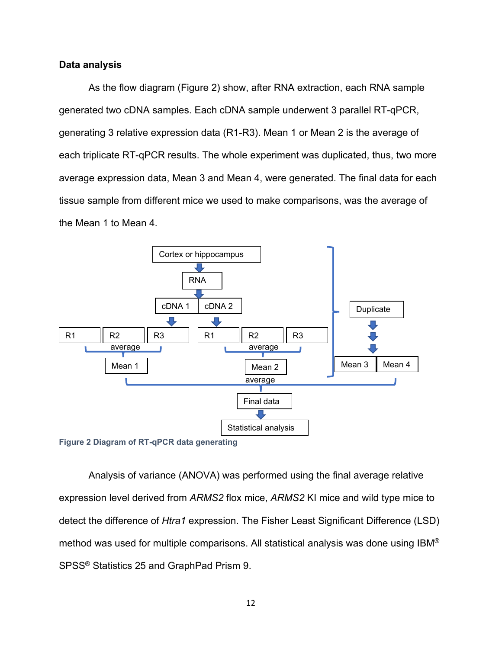### **Data analysis**

As the flow diagram (Figure 2) show, after RNA extraction, each RNA sample generated two cDNA samples. Each cDNA sample underwent 3 parallel RT-qPCR, generating 3 relative expression data (R1-R3). Mean 1 or Mean 2 is the average of each triplicate RT-qPCR results. The whole experiment was duplicated, thus, two more average expression data, Mean 3 and Mean 4, were generated. The final data for each tissue sample from different mice we used to make comparisons, was the average of the Mean 1 to Mean 4.



Analysis of variance (ANOVA) was performed using the final average relative expression level derived from *ARMS2* flox mice, *ARMS2* KI mice and wild type mice to detect the difference of *Htra1* expression. The Fisher Least Significant Difference (LSD) method was used for multiple comparisons. All statistical analysis was done using IBM® SPSS® Statistics 25 and GraphPad Prism 9.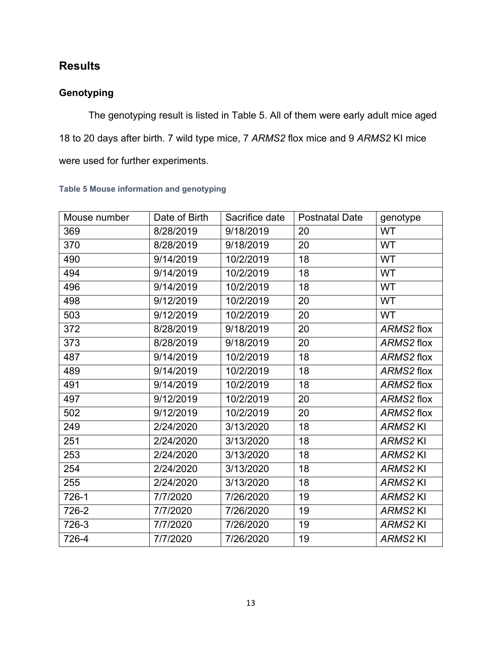# <span id="page-17-0"></span>**Results**

# <span id="page-17-1"></span>**Genotyping**

The genotyping result is listed in Table 5. All of them were early adult mice aged 18 to 20 days after birth. 7 wild type mice, 7 *ARMS2* flox mice and 9 *ARMS2* KI mice were used for further experiments.

<span id="page-17-2"></span>

| Mouse number | Date of Birth | Sacrifice date | <b>Postnatal Date</b> | genotype       |
|--------------|---------------|----------------|-----------------------|----------------|
| 369          | 8/28/2019     | 9/18/2019      | 20                    | <b>WT</b>      |
| 370          | 8/28/2019     | 9/18/2019      | 20                    | <b>WT</b>      |
| 490          | 9/14/2019     | 10/2/2019      | 18                    | <b>WT</b>      |
| 494          | 9/14/2019     | 10/2/2019      | 18                    | WT             |
| 496          | 9/14/2019     | 10/2/2019      | 18                    | WT             |
| 498          | 9/12/2019     | 10/2/2019      | 20                    | <b>WT</b>      |
| 503          | 9/12/2019     | 10/2/2019      | 20                    | <b>WT</b>      |
| 372          | 8/28/2019     | 9/18/2019      | 20                    | ARMS2 flox     |
| 373          | 8/28/2019     | 9/18/2019      | 20                    | ARMS2 flox     |
| 487          | 9/14/2019     | 10/2/2019      | 18                    | ARMS2 flox     |
| 489          | 9/14/2019     | 10/2/2019      | 18                    | ARMS2 flox     |
| 491          | 9/14/2019     | 10/2/2019      | 18                    | ARMS2 flox     |
| 497          | 9/12/2019     | 10/2/2019      | 20                    | ARMS2 flox     |
| 502          | 9/12/2019     | 10/2/2019      | 20                    | ARMS2 flox     |
| 249          | 2/24/2020     | 3/13/2020      | 18                    | <b>ARMS2KI</b> |
| 251          | 2/24/2020     | 3/13/2020      | 18                    | <b>ARMS2KI</b> |
| 253          | 2/24/2020     | 3/13/2020      | 18                    | <b>ARMS2KI</b> |
| 254          | 2/24/2020     | 3/13/2020      | 18                    | <b>ARMS2KI</b> |
| 255          | 2/24/2020     | 3/13/2020      | 18                    | <b>ARMS2KI</b> |
| 726-1        | 7/7/2020      | 7/26/2020      | 19                    | <b>ARMS2KI</b> |
| 726-2        | 7/7/2020      | 7/26/2020      | 19                    | <b>ARMS2KI</b> |
| 726-3        | 7/7/2020      | 7/26/2020      | 19                    | <b>ARMS2KI</b> |
| 726-4        | 7/7/2020      | 7/26/2020      | 19                    | <b>ARMS2KI</b> |

## **Table 5 Mouse information and genotyping**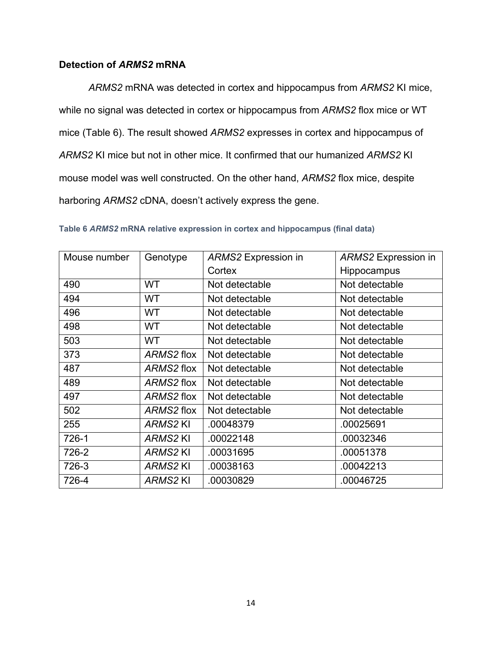## **Detection of** *ARMS2* **mRNA**

*ARMS2* mRNA was detected in cortex and hippocampus from *ARMS2* KI mice, while no signal was detected in cortex or hippocampus from *ARMS2* flox mice or WT mice (Table 6). The result showed *ARMS2* expresses in cortex and hippocampus of *ARMS2* KI mice but not in other mice. It confirmed that our humanized *ARMS2* KI mouse model was well constructed. On the other hand, *ARMS2* flox mice, despite harboring *ARMS2* cDNA, doesn't actively express the gene.

| Mouse number | Genotype       | ARMS2 Expression in | ARMS2 Expression in |
|--------------|----------------|---------------------|---------------------|
|              |                | Cortex              | Hippocampus         |
| 490          | WT             | Not detectable      | Not detectable      |
| 494          | WT             | Not detectable      | Not detectable      |
| 496          | WT             | Not detectable      | Not detectable      |
| 498          | WT             | Not detectable      | Not detectable      |
| 503          | WT.            | Not detectable      | Not detectable      |
| 373          | ARMS2 flox     | Not detectable      | Not detectable      |
| 487          | ARMS2 flox     | Not detectable      | Not detectable      |
| 489          | ARMS2 flox     | Not detectable      | Not detectable      |
| 497          | ARMS2 flox     | Not detectable      | Not detectable      |
| 502          | ARMS2 flox     | Not detectable      | Not detectable      |
| 255          | <b>ARMS2KI</b> | .00048379           | .00025691           |
| 726-1        | <b>ARMS2KI</b> | .00022148           | .00032346           |
| 726-2        | <b>ARMS2KI</b> | .00031695           | .00051378           |
| 726-3        | ARMS2 KI       | .00038163           | .00042213           |
| 726-4        | <b>ARMS2KI</b> | .00030829           | .00046725           |

**Table 6** *ARMS2* **mRNA relative expression in cortex and hippocampus (final data)**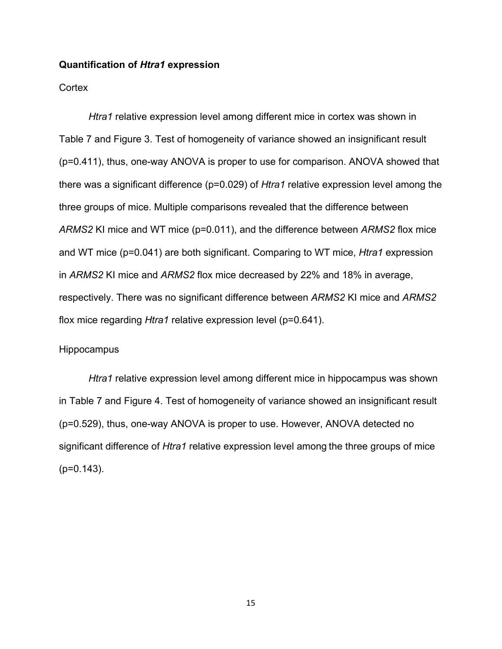#### <span id="page-19-0"></span>**Quantification of** *Htra1* **expression**

### **Cortex**

*Htra1* relative expression level among different mice in cortex was shown in Table 7 and Figure 3. Test of homogeneity of variance showed an insignificant result (p=0.411), thus, one-way ANOVA is proper to use for comparison. ANOVA showed that there was a significant difference (p=0.029) of *Htra1* relative expression level among the three groups of mice. Multiple comparisons revealed that the difference between *ARMS2* KI mice and WT mice (p=0.011), and the difference between *ARMS2* flox mice and WT mice (p=0.041) are both significant. Comparing to WT mice, *Htra1* expression in *ARMS2* KI mice and *ARMS2* flox mice decreased by 22% and 18% in average, respectively. There was no significant difference between *ARMS2* KI mice and *ARMS2* flox mice regarding *Htra1* relative expression level (p=0.641).

#### **Hippocampus**

*Htra1* relative expression level among different mice in hippocampus was shown in Table 7 and Figure 4. Test of homogeneity of variance showed an insignificant result (p=0.529), thus, one-way ANOVA is proper to use. However, ANOVA detected no significant difference of *Htra1* relative expression level among the three groups of mice (p=0.143).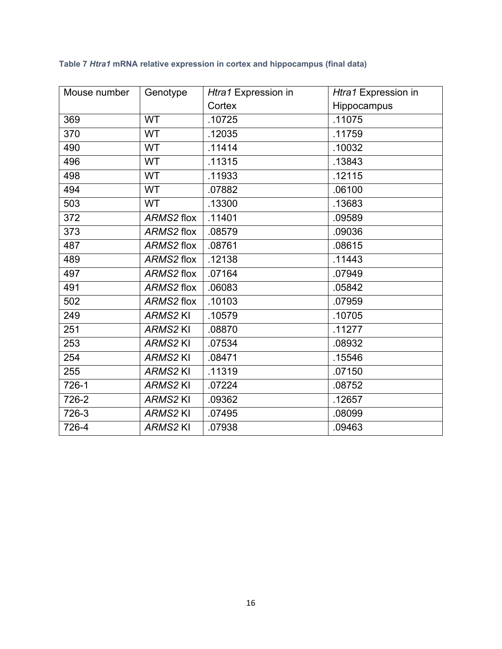| Mouse number | Genotype       | Htra1 Expression in | Htra1 Expression in |
|--------------|----------------|---------------------|---------------------|
|              |                | Cortex              | Hippocampus         |
| 369          | <b>WT</b>      | .10725              | .11075              |
| 370          | <b>WT</b>      | .12035              | .11759              |
| 490          | <b>WT</b>      | .11414              | .10032              |
| 496          | <b>WT</b>      | .11315              | .13843              |
| 498          | WT             | .11933              | .12115              |
| 494          | <b>WT</b>      | .07882              | .06100              |
| 503          | <b>WT</b>      | .13300              | .13683              |
| 372          | ARMS2 flox     | .11401              | .09589              |
| 373          | ARMS2 flox     | .08579              | .09036              |
| 487          | ARMS2 flox     | .08761              | .08615              |
| 489          | ARMS2 flox     | .12138              | .11443              |
| 497          | ARMS2 flox     | .07164              | .07949              |
| 491          | ARMS2 flox     | .06083              | .05842              |
| 502          | ARMS2 flox     | .10103              | .07959              |
| 249          | <b>ARMS2KI</b> | .10579              | .10705              |
| 251          | <b>ARMS2KI</b> | .08870              | .11277              |
| 253          | <b>ARMS2KI</b> | .07534              | .08932              |
| 254          | ARMS2 KI       | .08471              | .15546              |
| 255          | ARMS2 KI       | .11319              | .07150              |
| 726-1        | <b>ARMS2KI</b> | .07224              | .08752              |
| 726-2        | <b>ARMS2KI</b> | .09362              | .12657              |
| 726-3        | ARMS2 KI       | .07495              | .08099              |
| 726-4        | <b>ARMS2KI</b> | .07938              | .09463              |

# **Table 7** *Htra1* **mRNA relative expression in cortex and hippocampus (final data)**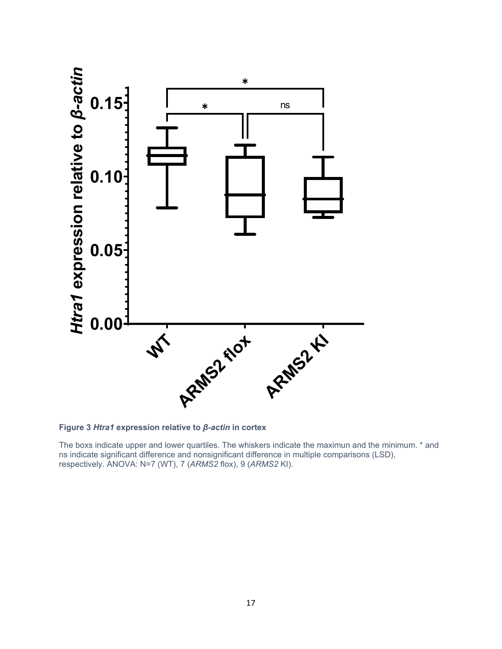

**Figure 3** *Htra1* **expression relative to** *β-actin* **in cortex**

The boxs indicate upper and lower quartiles. The whiskers indicate the maximun and the minimum. \* and ns indicate significant difference and nonsignificant difference in multiple comparisons (LSD), respectively. ANOVA: N=7 (WT), 7 (*ARMS2* flox), 9 (*ARMS2* KI).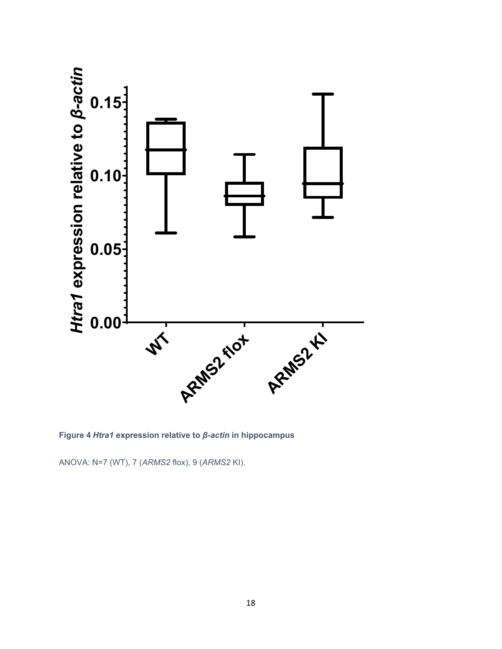

**Figure 4** *Htra1* **expression relative to** *β-actin* **in hippocampus**

ANOVA: N=7 (WT), 7 (*ARMS2* flox), 9 (*ARMS2* KI).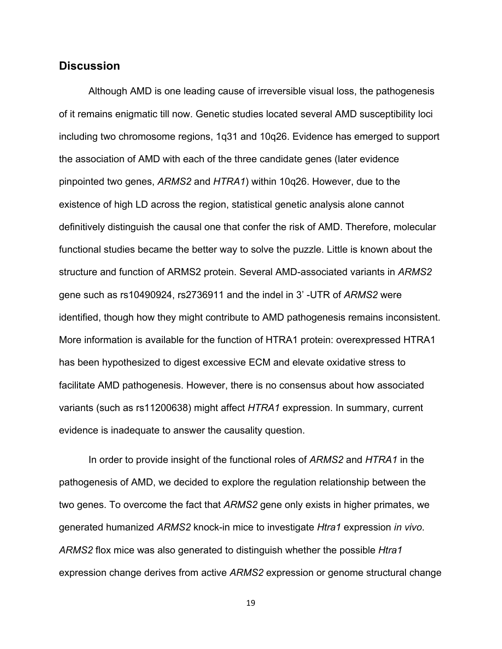## <span id="page-23-0"></span>**Discussion**

Although AMD is one leading cause of irreversible visual loss, the pathogenesis of it remains enigmatic till now. Genetic studies located several AMD susceptibility loci including two chromosome regions, 1q31 and 10q26. Evidence has emerged to support the association of AMD with each of the three candidate genes (later evidence pinpointed two genes, *ARMS2* and *HTRA1*) within 10q26. However, due to the existence of high LD across the region, statistical genetic analysis alone cannot definitively distinguish the causal one that confer the risk of AMD. Therefore, molecular functional studies became the better way to solve the puzzle. Little is known about the structure and function of ARMS2 protein. Several AMD-associated variants in *ARMS2* gene such as rs10490924, rs2736911 and the indel in 3' -UTR of *ARMS2* were identified, though how they might contribute to AMD pathogenesis remains inconsistent. More information is available for the function of HTRA1 protein: overexpressed HTRA1 has been hypothesized to digest excessive ECM and elevate oxidative stress to facilitate AMD pathogenesis. However, there is no consensus about how associated variants (such as rs11200638) might affect *HTRA1* expression. In summary, current evidence is inadequate to answer the causality question.

In order to provide insight of the functional roles of *ARMS2* and *HTRA1* in the pathogenesis of AMD, we decided to explore the regulation relationship between the two genes. To overcome the fact that *ARMS2* gene only exists in higher primates, we generated humanized *ARMS2* knock-in mice to investigate *Htra1* expression *in vivo*. *ARMS2* flox mice was also generated to distinguish whether the possible *Htra1* expression change derives from active *ARMS2* expression or genome structural change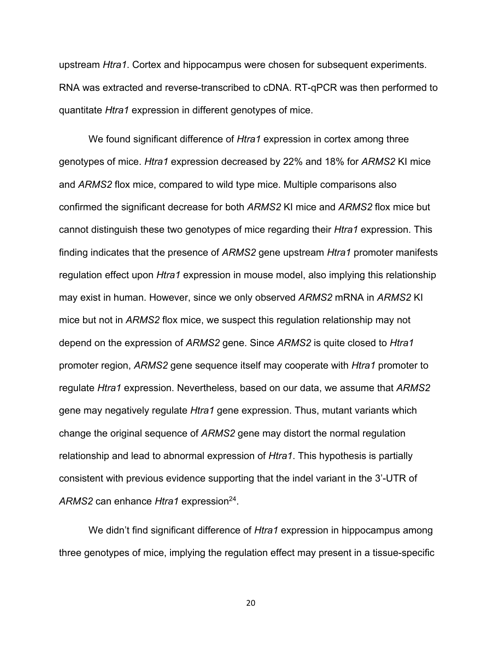upstream *Htra1*. Cortex and hippocampus were chosen for subsequent experiments. RNA was extracted and reverse-transcribed to cDNA. RT-qPCR was then performed to quantitate *Htra1* expression in different genotypes of mice.

We found significant difference of *Htra1* expression in cortex among three genotypes of mice. *Htra1* expression decreased by 22% and 18% for *ARMS2* KI mice and *ARMS2* flox mice, compared to wild type mice. Multiple comparisons also confirmed the significant decrease for both *ARMS2* KI mice and *ARMS2* flox mice but cannot distinguish these two genotypes of mice regarding their *Htra1* expression. This finding indicates that the presence of *ARMS2* gene upstream *Htra1* promoter manifests regulation effect upon *Htra1* expression in mouse model, also implying this relationship may exist in human. However, since we only observed *ARMS2* mRNA in *ARMS2* KI mice but not in *ARMS2* flox mice, we suspect this regulation relationship may not depend on the expression of *ARMS2* gene. Since *ARMS2* is quite closed to *Htra1* promoter region, *ARMS2* gene sequence itself may cooperate with *Htra1* promoter to regulate *Htra1* expression. Nevertheless, based on our data, we assume that *ARMS2* gene may negatively regulate *Htra1* gene expression. Thus, mutant variants which change the original sequence of *ARMS2* gene may distort the normal regulation relationship and lead to abnormal expression of *Htra1*. This hypothesis is partially consistent with previous evidence supporting that the indel variant in the 3'-UTR of ARMS<sub>2</sub> can enhance *Htra1* expression<sup>24</sup>.

We didn't find significant difference of *Htra1* expression in hippocampus among three genotypes of mice, implying the regulation effect may present in a tissue-specific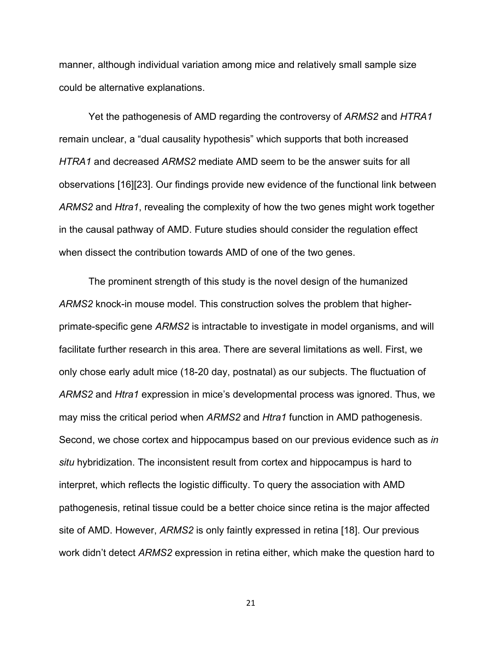manner, although individual variation among mice and relatively small sample size could be alternative explanations.

Yet the pathogenesis of AMD regarding the controversy of *ARMS2* and *HTRA1* remain unclear, a "dual causality hypothesis" which supports that both increased *HTRA1* and decreased *ARMS2* mediate AMD seem to be the answer suits for all observations [\[16\]](#page-28-6)[\[23\].](#page-29-7) Our findings provide new evidence of the functional link between *ARMS2* and *Htra1*, revealing the complexity of how the two genes might work together in the causal pathway of AMD. Future studies should consider the regulation effect when dissect the contribution towards AMD of one of the two genes.

The prominent strength of this study is the novel design of the humanized *ARMS2* knock-in mouse model. This construction solves the problem that higherprimate-specific gene *ARMS2* is intractable to investigate in model organisms, and will facilitate further research in this area. There are several limitations as well. First, we only chose early adult mice (18-20 day, postnatal) as our subjects. The fluctuation of *ARMS2* and *Htra1* expression in mice's developmental process was ignored. Thus, we may miss the critical period when *ARMS2* and *Htra1* function in AMD pathogenesis. Second, we chose cortex and hippocampus based on our previous evidence such as *in situ* hybridization. The inconsistent result from cortex and hippocampus is hard to interpret, which reflects the logistic difficulty. To query the association with AMD pathogenesis, retinal tissue could be a better choice since retina is the major affected site of AMD. However, *ARMS2* is only faintly expressed in retina [\[18\].](#page-29-0) Our previous work didn't detect *ARMS2* expression in retina either, which make the question hard to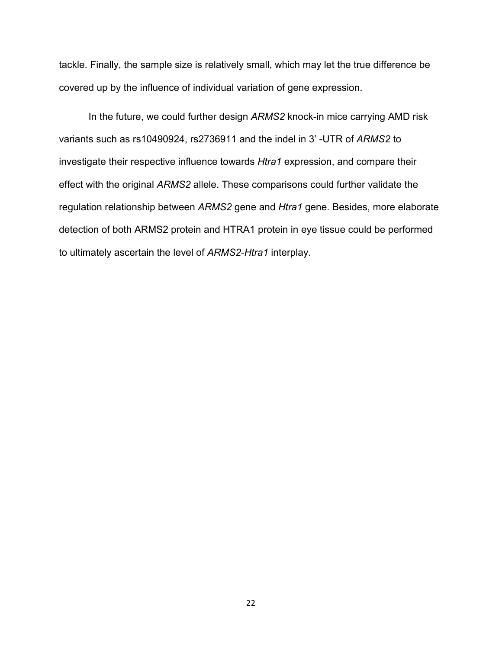tackle. Finally, the sample size is relatively small, which may let the true difference be covered up by the influence of individual variation of gene expression.

<span id="page-26-0"></span>In the future, we could further design *ARMS2* knock-in mice carrying AMD risk variants such as rs10490924, rs2736911 and the indel in 3' -UTR of *ARMS2* to investigate their respective influence towards *Htra1* expression, and compare their effect with the original *ARMS2* allele. These comparisons could further validate the regulation relationship between *ARMS2* gene and *Htra1* gene. Besides, more elaborate detection of both ARMS2 protein and HTRA1 protein in eye tissue could be performed to ultimately ascertain the level of *ARMS2-Htra1* interplay.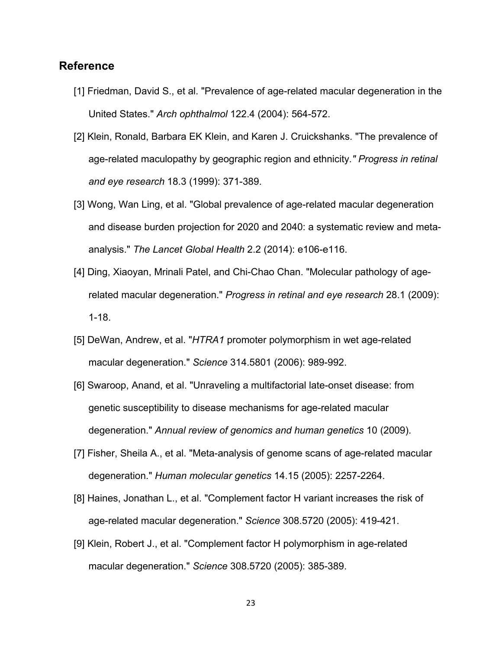# **Reference**

- <span id="page-27-0"></span>[1] Friedman, David S., et al. "Prevalence of age-related macular degeneration in the United States." *Arch ophthalmol* 122.4 (2004): 564-572.
- <span id="page-27-1"></span>[2] Klein, Ronald, Barbara EK Klein, and Karen J. Cruickshanks. "The prevalence of age-related maculopathy by geographic region and ethnicity*." Progress in retinal and eye research* 18.3 (1999): 371-389.
- <span id="page-27-2"></span>[3] Wong, Wan Ling, et al. "Global prevalence of age-related macular degeneration and disease burden projection for 2020 and 2040: a systematic review and metaanalysis." *The Lancet Global Health* 2.2 (2014): e106-e116.
- <span id="page-27-3"></span>[4] Ding, Xiaoyan, Mrinali Patel, and Chi-Chao Chan. "Molecular pathology of agerelated macular degeneration." *Progress in retinal and eye research* 28.1 (2009): 1-18.
- <span id="page-27-4"></span>[5] DeWan, Andrew, et al. "*HTRA1* promoter polymorphism in wet age-related macular degeneration." *Science* 314.5801 (2006): 989-992.
- <span id="page-27-5"></span>[6] Swaroop, Anand, et al. "Unraveling a multifactorial late-onset disease: from genetic susceptibility to disease mechanisms for age-related macular degeneration." *Annual review of genomics and human genetics* 10 (2009).
- <span id="page-27-6"></span>[7] Fisher, Sheila A., et al. "Meta-analysis of genome scans of age-related macular degeneration." *Human molecular genetics* 14.15 (2005): 2257-2264.
- <span id="page-27-7"></span>[8] Haines, Jonathan L., et al. "Complement factor H variant increases the risk of age-related macular degeneration." *Science* 308.5720 (2005): 419-421.
- <span id="page-27-8"></span>[9] Klein, Robert J., et al. "Complement factor H polymorphism in age-related macular degeneration." *Science* 308.5720 (2005): 385-389.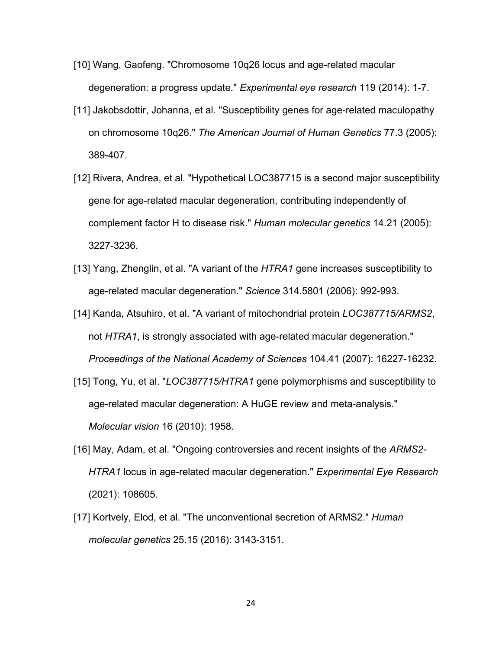- <span id="page-28-0"></span>[10] Wang, Gaofeng. "Chromosome 10q26 locus and age-related macular degeneration: a progress update." *Experimental eye research* 119 (2014): 1-7.
- <span id="page-28-1"></span>[11] Jakobsdottir, Johanna, et al. "Susceptibility genes for age-related maculopathy on chromosome 10q26." *The American Journal of Human Genetics* 77.3 (2005): 389-407.
- <span id="page-28-2"></span>[12] Rivera, Andrea, et al. "Hypothetical LOC387715 is a second major susceptibility gene for age-related macular degeneration, contributing independently of complement factor H to disease risk." *Human molecular genetics* 14.21 (2005): 3227-3236.
- <span id="page-28-3"></span>[13] Yang, Zhenglin, et al. "A variant of the *HTRA1* gene increases susceptibility to age-related macular degeneration." *Science* 314.5801 (2006): 992-993.
- <span id="page-28-4"></span>[14] Kanda, Atsuhiro, et al. "A variant of mitochondrial protein *LOC387715/ARMS2*, not *HTRA1*, is strongly associated with age-related macular degeneration." *Proceedings of the National Academy of Sciences* 104.41 (2007): 16227-16232.
- <span id="page-28-5"></span>[15] Tong, Yu, et al. "*LOC387715/HTRA1* gene polymorphisms and susceptibility to age-related macular degeneration: A HuGE review and meta-analysis." *Molecular vision* 16 (2010): 1958.
- <span id="page-28-6"></span>[16] May, Adam, et al. "Ongoing controversies and recent insights of the *ARMS2- HTRA1* locus in age-related macular degeneration." *Experimental Eye Research* (2021): 108605.
- <span id="page-28-7"></span>[17] Kortvely, Elod, et al. "The unconventional secretion of ARMS2." *Human molecular genetics* 25.15 (2016): 3143-3151.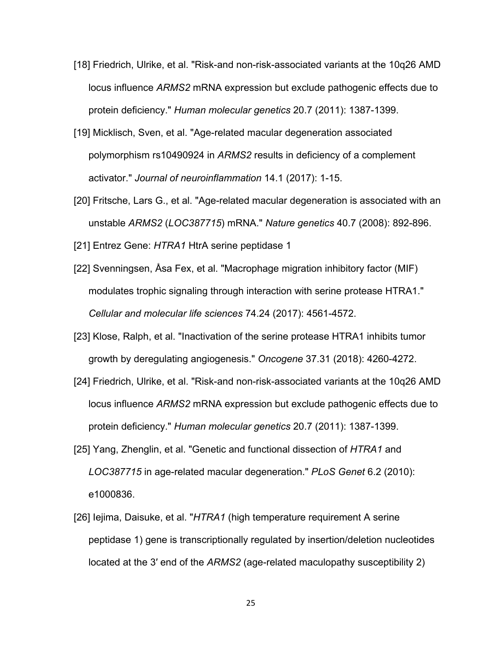- <span id="page-29-0"></span>[18] Friedrich, Ulrike, et al. "Risk-and non-risk-associated variants at the 10q26 AMD locus influence *ARMS2* mRNA expression but exclude pathogenic effects due to protein deficiency." *Human molecular genetics* 20.7 (2011): 1387-1399.
- <span id="page-29-1"></span>[19] Micklisch, Sven, et al. "Age-related macular degeneration associated polymorphism rs10490924 in *ARMS2* results in deficiency of a complement activator." *Journal of neuroinflammation* 14.1 (2017): 1-15.
- <span id="page-29-2"></span>[20] Fritsche, Lars G., et al. "Age-related macular degeneration is associated with an unstable *ARMS2* (*LOC387715*) mRNA." *Nature genetics* 40.7 (2008): 892-896.
- <span id="page-29-3"></span>[21] Entrez Gene: *HTRA1* HtrA serine peptidase 1
- [22] Svenningsen, Åsa Fex, et al. "Macrophage migration inhibitory factor (MIF) modulates trophic signaling through interaction with serine protease HTRA1." *Cellular and molecular life sciences* 74.24 (2017): 4561-4572.
- <span id="page-29-7"></span>[23] Klose, Ralph, et al. "Inactivation of the serine protease HTRA1 inhibits tumor growth by deregulating angiogenesis." *Oncogene* 37.31 (2018): 4260-4272.
- <span id="page-29-4"></span>[24] Friedrich, Ulrike, et al. "Risk-and non-risk-associated variants at the 10q26 AMD locus influence *ARMS2* mRNA expression but exclude pathogenic effects due to protein deficiency." *Human molecular genetics* 20.7 (2011): 1387-1399.
- <span id="page-29-5"></span>[25] Yang, Zhenglin, et al. "Genetic and functional dissection of *HTRA1* and *LOC387715* in age-related macular degeneration." *PLoS Genet* 6.2 (2010): e1000836.
- <span id="page-29-6"></span>[26] Iejima, Daisuke, et al. "*HTRA1* (high temperature requirement A serine peptidase 1) gene is transcriptionally regulated by insertion/deletion nucleotides located at the 3′ end of the *ARMS2* (age-related maculopathy susceptibility 2)